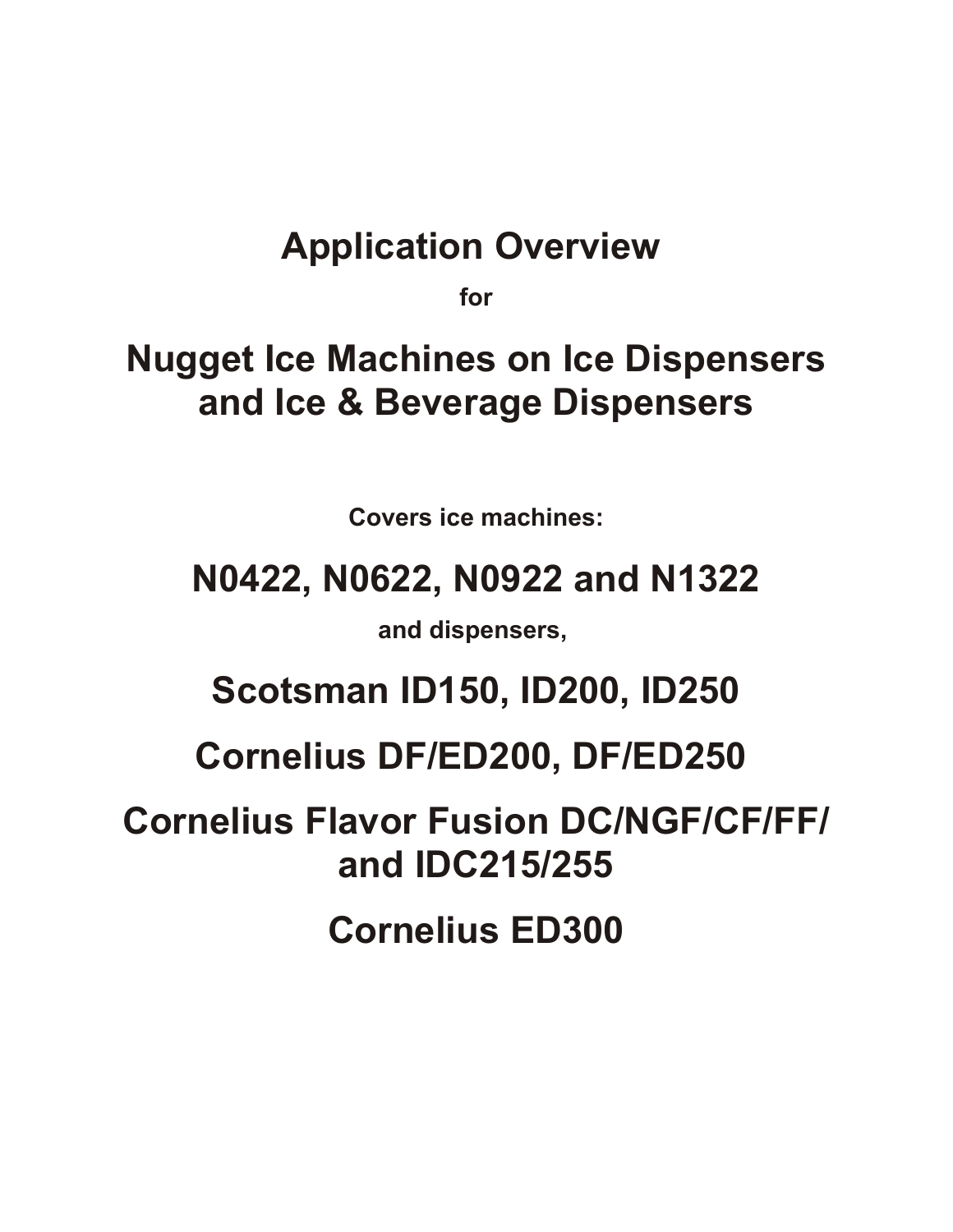# **Application Overview**

**for**

**Nugget Ice Machines on Ice Dispensers and Ice & Beverage Dispensers**

**Covers ice machines:**

# **N0422, N0622, N0922 and N1322**

**and dispensers,** 

**Scotsman ID150, ID200, ID250**

**Cornelius DF/ED200, DF/ED250** 

**Cornelius Flavor Fusion DC/NGF/CF/FF/ and IDC215/255**

**Cornelius ED300**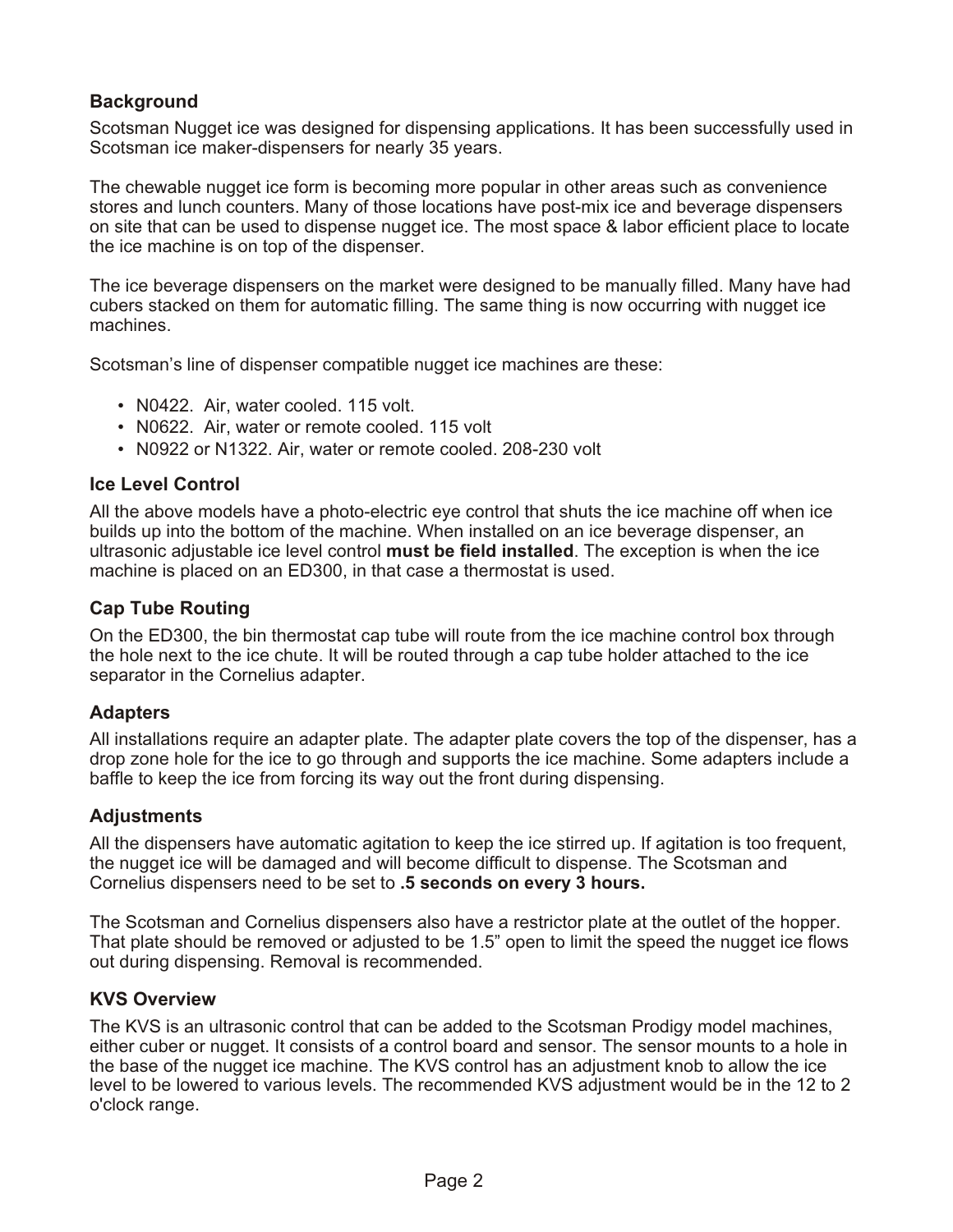# **Background**

Scotsman Nugget ice was designed for dispensing applications. It has been successfully used in Scotsman ice maker-dispensers for nearly 35 years.

The chewable nugget ice form is becoming more popular in other areas such as convenience stores and lunch counters. Many of those locations have post-mix ice and beverage dispensers on site that can be used to dispense nugget ice. The most space & labor efficient place to locate the ice machine is on top of the dispenser.

The ice beverage dispensers on the market were designed to be manually filled. Many have had cubers stacked on them for automatic filling. The same thing is now occurring with nugget ice machines.

Scotsman's line of dispenser compatible nugget ice machines are these:

- N0422. Air, water cooled. 115 volt.
- N0622. Air, water or remote cooled. 115 volt
- N0922 or N1322. Air, water or remote cooled. 208-230 volt

#### **Ice Level Control**

All the above models have a photo-electric eye control that shuts the ice machine off when ice builds up into the bottom of the machine. When installed on an ice beverage dispenser, an ultrasonic adjustable ice level control **must be field installed**. The exception is when the ice machine is placed on an ED300, in that case a thermostat is used.

### **Cap Tube Routing**

On the ED300, the bin thermostat cap tube will route from the ice machine control box through the hole next to the ice chute. It will be routed through a cap tube holder attached to the ice separator in the Cornelius adapter.

#### **Adapters**

All installations require an adapter plate. The adapter plate covers the top of the dispenser, has a drop zone hole for the ice to go through and supports the ice machine. Some adapters include a baffle to keep the ice from forcing its way out the front during dispensing.

#### **Adjustments**

All the dispensers have automatic agitation to keep the ice stirred up. If agitation is too frequent, the nugget ice will be damaged and will become difficult to dispense. The Scotsman and Cornelius dispensers need to be set to **.5 seconds on every 3 hours.**

The Scotsman and Cornelius dispensers also have a restrictor plate at the outlet of the hopper. That plate should be removed or adjusted to be 1.5" open to limit the speed the nugget ice flows out during dispensing. Removal is recommended.

#### **KVS Overview**

The KVS is an ultrasonic control that can be added to the Scotsman Prodigy model machines, either cuber or nugget. It consists of a control board and sensor. The sensor mounts to a hole in the base of the nugget ice machine. The KVS control has an adjustment knob to allow the ice level to be lowered to various levels. The recommended KVS adjustment would be in the 12 to 2 o'clock range.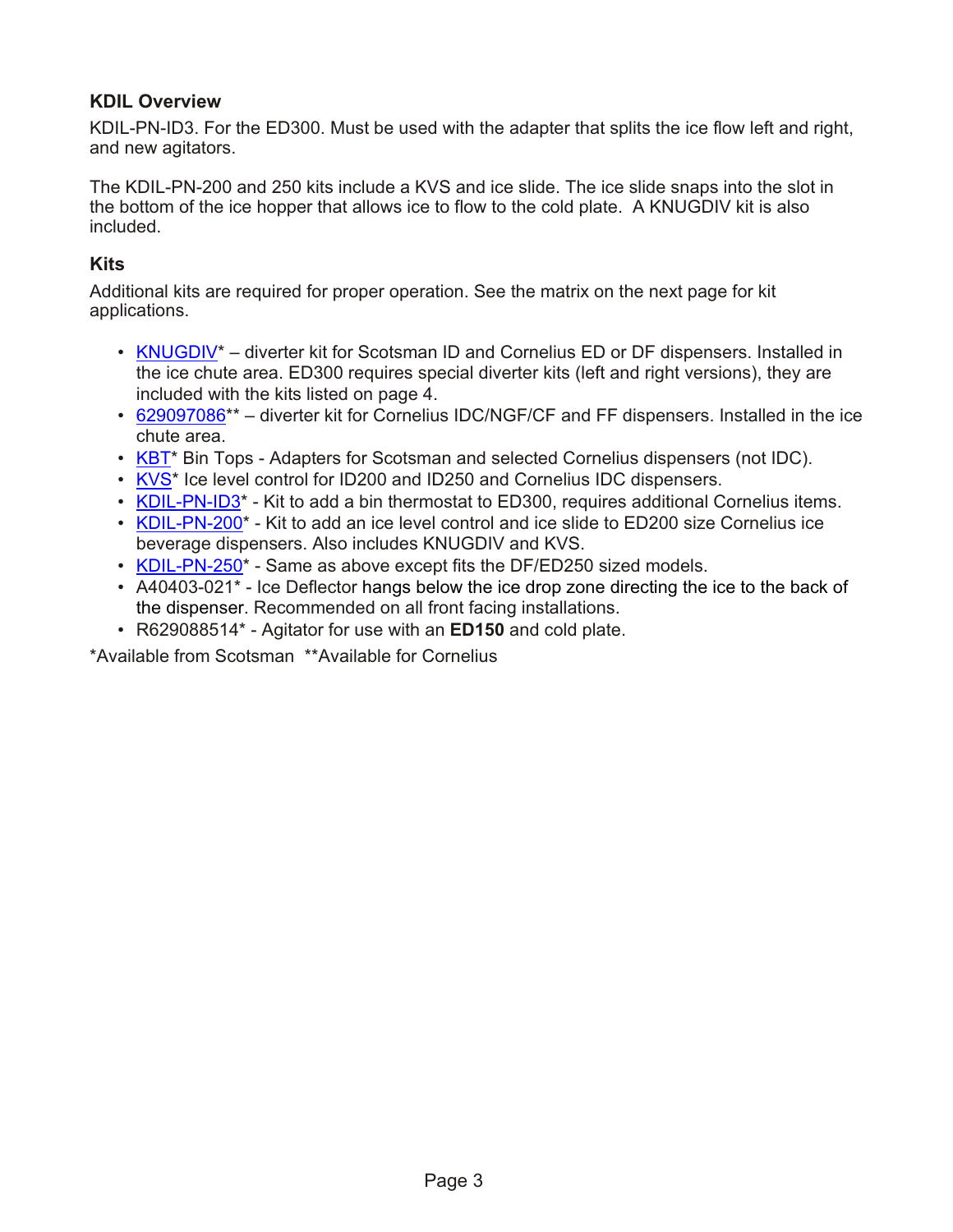## **KDIL Overview**

KDIL-PN-ID3. For the ED300. Must be used with the adapter that splits the ice flow left and right, and new agitators.

The KDIL-PN-200 and 250 kits include a KVS and ice slide. The ice slide snaps into the slot in the bottom of the ice hopper that allows ice to flow to the cold plate. A KNUGDIV kit is also included.

## **Kits**

Additional kits are required for proper operation. See the matrix on the next page for kit applications.

- [KNUGDIV](http://www.scotsman-ice.com/service/Instructions/knugdiv.pdf)\* diverter kit for Scotsman ID and Cornelius ED or DF dispensers. Installed in the ice chute area. ED300 requires special diverter kits (left and right versions), they are included with the kits listed on page 4.
- [629097086](http://www.cornelius-usa.com/stellent/groups/web/@guest/documents/manual/033831.pdf)\*\* diverter kit for Cornelius IDC/NGF/CF and FF dispensers. Installed in the ice chute area.
- [KBT](http://www.scotsman-ice.com/service/Instructions.htm#bintopskits)\* Bin Tops Adapters for Scotsman and selected Cornelius dispensers (not IDC).
- [KVS](http://www.scotsman-ice.com/service/Instructions/17313801.pdf)\* Ice level control for ID200 and ID250 and Cornelius IDC dispensers.
- [KDIL-PN-ID3](http://www.scotsman-ice.com/service/Instructions/17330101.pdf)\* Kit to add a bin thermostat to ED300, requires additional Cornelius items.
- [KDIL-PN-200](http://www.scotsman-ice.com/service/Instructions/17329901.pdf)\* Kit to add an ice level control and ice slide to ED200 size Cornelius ice beverage dispensers. Also includes KNUGDIV and KVS.
- [KDIL-PN-250](http://www.scotsman-ice.com/service/Instructions/17329901.pdf)\* Same as above except fits the DF/ED250 sized models.
- A40403-021\* Ice Deflector hangs below the ice drop zone directing the ice to the back of the dispenser. Recommended on all front facing installations.
- R629088514\* Agitator for use with an **ED150** and cold plate.

\*Available from Scotsman \*\*Available for Cornelius